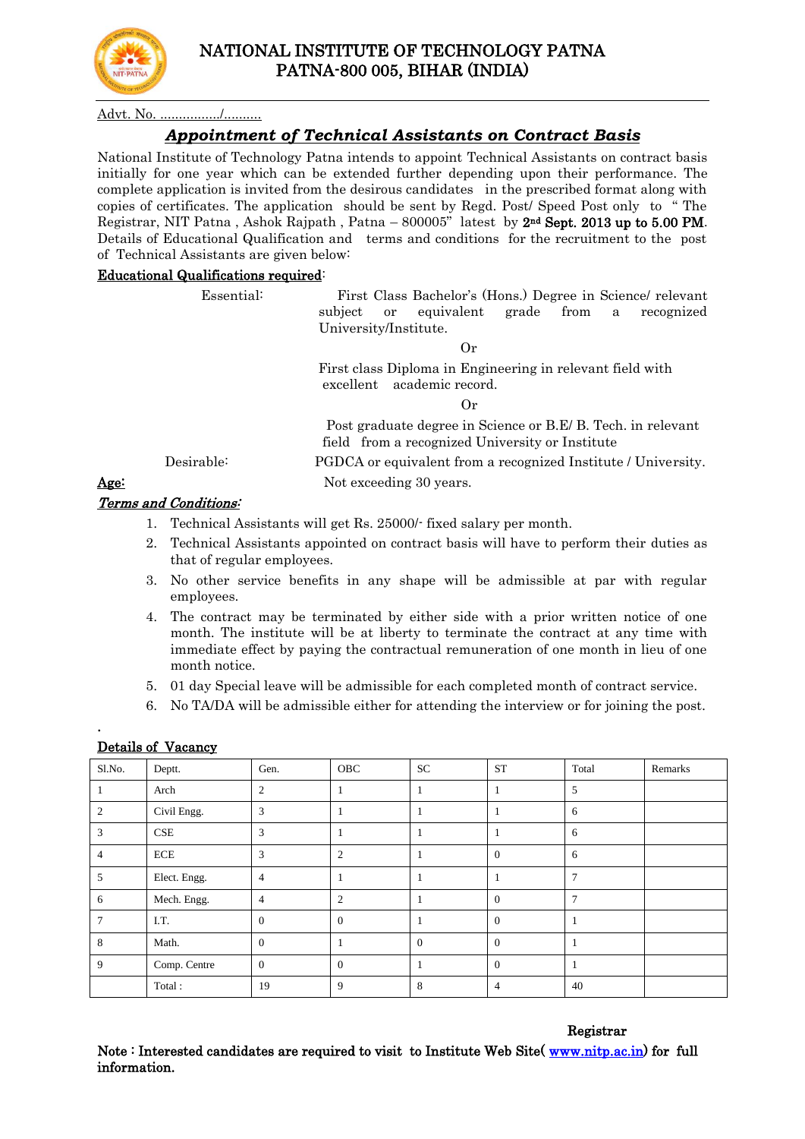

# NATIONAL INSTITUTE OF TECHNOLOGY PATNA PATNA-800 005, BIHAR (INDIA)

Advt. No.

## *Appointment of Technical Assistants on Contract Basis*

National Institute of Technology Patna intends to appoint Technical Assistants on contract basis initially for one year which can be extended further depending upon their performance. The complete application is invited from the desirous candidates in the prescribed format along with copies of certificates. The application should be sent by Regd. Post/ Speed Post only to " The Registrar, NIT Patna, Ashok Rajpath, Patna –  $800005$ " latest by  $2<sup>nd</sup>$  Sept. 2013 up to 5.00 PM. Details of Educational Qualification and terms and conditions for the recruitment to the post of Technical Assistants are given below:

#### Educational Qualifications required:

 Essential: First Class Bachelor's (Hons.) Degree in Science/ relevant subject or equivalent grade from a recognized University/Institute.

Or

 First class Diploma in Engineering in relevant field with excellent academic record.

Or

Post graduate degree in Science or B.E/ B. Tech. in relevant field from a recognized University or Institute

Desirable: PGDCA or equivalent from a recognized Institute / University.

Age: Not exceeding 30 years.

#### Terms and Conditions:

- 1. Technical Assistants will get Rs. 25000/- fixed salary per month.
- 2. Technical Assistants appointed on contract basis will have to perform their duties as that of regular employees.
- 3. No other service benefits in any shape will be admissible at par with regular employees.
- 4. The contract may be terminated by either side with a prior written notice of one month. The institute will be at liberty to terminate the contract at any time with immediate effect by paying the contractual remuneration of one month in lieu of one month notice.
- 5. 01 day Special leave will be admissible for each completed month of contract service.
- 6. No TA/DA will be admissible either for attending the interview or for joining the post.

| Sl.No.         | Deptt.       | Gen.           | OBC            | <b>SC</b>      | <b>ST</b>      | Total          | Remarks |
|----------------|--------------|----------------|----------------|----------------|----------------|----------------|---------|
|                | Arch         | $\overline{c}$ |                |                |                | 5              |         |
| $\overline{c}$ | Civil Engg.  | 3              | 1              |                |                | 6              |         |
| 3              | CSE          | 3              | 1              |                |                | 6              |         |
|                | ECE          | 3              | $\mathfrak{2}$ |                | $\overline{0}$ | 6              |         |
| 5              | Elect. Engg. | 4              | -1             |                |                | $\overline{7}$ |         |
| 6              | Mech. Engg.  | 4              | $\overline{2}$ |                | $\theta$       | $\tau$         |         |
| 7              | I.T.         | $\overline{0}$ | $\mathbf{0}$   |                | $\overline{0}$ |                |         |
| 8              | Math.        | $\mathbf{0}$   | 1              | $\overline{0}$ | $\overline{0}$ |                |         |
| 9              | Comp. Centre | $\mathbf{0}$   | $\mathbf{0}$   |                | $\theta$       |                |         |
|                | Total:       | 19             | 9              | 8              | 4              | 40             |         |

### Details of Vacancy

.

#### Registrar

Note : Interested candidates are required to visit to Institute Web Site( [www.nitp.ac.in\)](http://www.nitp.ac.in/) for full information.